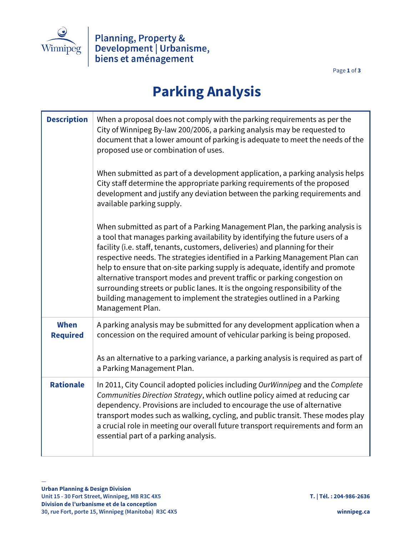

Page **1** of **3**

## **Parking Analysis**

| <b>Description</b>             | When a proposal does not comply with the parking requirements as per the<br>City of Winnipeg By-law 200/2006, a parking analysis may be requested to<br>document that a lower amount of parking is adequate to meet the needs of the<br>proposed use or combination of uses.<br>When submitted as part of a development application, a parking analysis helps<br>City staff determine the appropriate parking requirements of the proposed<br>development and justify any deviation between the parking requirements and                                                                                                                                                                            |
|--------------------------------|-----------------------------------------------------------------------------------------------------------------------------------------------------------------------------------------------------------------------------------------------------------------------------------------------------------------------------------------------------------------------------------------------------------------------------------------------------------------------------------------------------------------------------------------------------------------------------------------------------------------------------------------------------------------------------------------------------|
|                                | available parking supply.<br>When submitted as part of a Parking Management Plan, the parking analysis is<br>a tool that manages parking availability by identifying the future users of a<br>facility (i.e. staff, tenants, customers, deliveries) and planning for their<br>respective needs. The strategies identified in a Parking Management Plan can<br>help to ensure that on-site parking supply is adequate, identify and promote<br>alternative transport modes and prevent traffic or parking congestion on<br>surrounding streets or public lanes. It is the ongoing responsibility of the<br>building management to implement the strategies outlined in a Parking<br>Management Plan. |
| <b>When</b><br><b>Required</b> | A parking analysis may be submitted for any development application when a<br>concession on the required amount of vehicular parking is being proposed.<br>As an alternative to a parking variance, a parking analysis is required as part of<br>a Parking Management Plan.                                                                                                                                                                                                                                                                                                                                                                                                                         |
| <b>Rationale</b>               | In 2011, City Council adopted policies including OurWinnipeg and the Complete<br>Communities Direction Strategy, which outline policy aimed at reducing car<br>dependency. Provisions are included to encourage the use of alternative<br>transport modes such as walking, cycling, and public transit. These modes play<br>a crucial role in meeting our overall future transport requirements and form an<br>essential part of a parking analysis.                                                                                                                                                                                                                                                |

—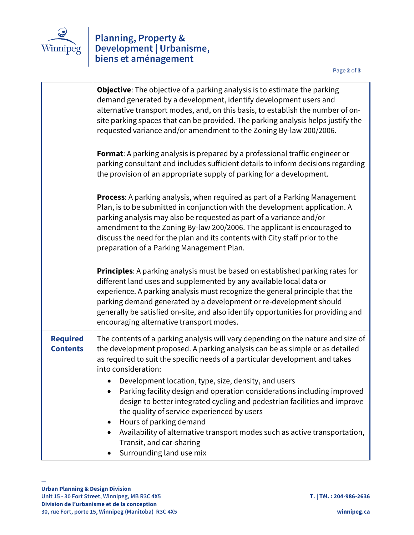

## Planning, Property &<br>Development | Urbanisme,<br>biens et aménagement

|                                    | Objective: The objective of a parking analysis is to estimate the parking<br>demand generated by a development, identify development users and<br>alternative transport modes, and, on this basis, to establish the number of on-<br>site parking spaces that can be provided. The parking analysis helps justify the<br>requested variance and/or amendment to the Zoning By-law 200/2006.                                                 |
|------------------------------------|---------------------------------------------------------------------------------------------------------------------------------------------------------------------------------------------------------------------------------------------------------------------------------------------------------------------------------------------------------------------------------------------------------------------------------------------|
|                                    | <b>Format:</b> A parking analysis is prepared by a professional traffic engineer or<br>parking consultant and includes sufficient details to inform decisions regarding<br>the provision of an appropriate supply of parking for a development.                                                                                                                                                                                             |
|                                    | Process: A parking analysis, when required as part of a Parking Management<br>Plan, is to be submitted in conjunction with the development application. A<br>parking analysis may also be requested as part of a variance and/or<br>amendment to the Zoning By-law 200/2006. The applicant is encouraged to<br>discuss the need for the plan and its contents with City staff prior to the<br>preparation of a Parking Management Plan.     |
|                                    | Principles: A parking analysis must be based on established parking rates for<br>different land uses and supplemented by any available local data or<br>experience. A parking analysis must recognize the general principle that the<br>parking demand generated by a development or re-development should<br>generally be satisfied on-site, and also identify opportunities for providing and<br>encouraging alternative transport modes. |
| <b>Required</b><br><b>Contents</b> | The contents of a parking analysis will vary depending on the nature and size of<br>the development proposed. A parking analysis can be as simple or as detailed<br>as required to suit the specific needs of a particular development and takes<br>into consideration:                                                                                                                                                                     |
|                                    | Development location, type, size, density, and users<br>Parking facility design and operation considerations including improved<br>design to better integrated cycling and pedestrian facilities and improve<br>the quality of service experienced by users<br>Hours of parking demand<br>٠<br>Availability of alternative transport modes such as active transportation,<br>Transit, and car-sharing<br>Surrounding land use mix           |

—